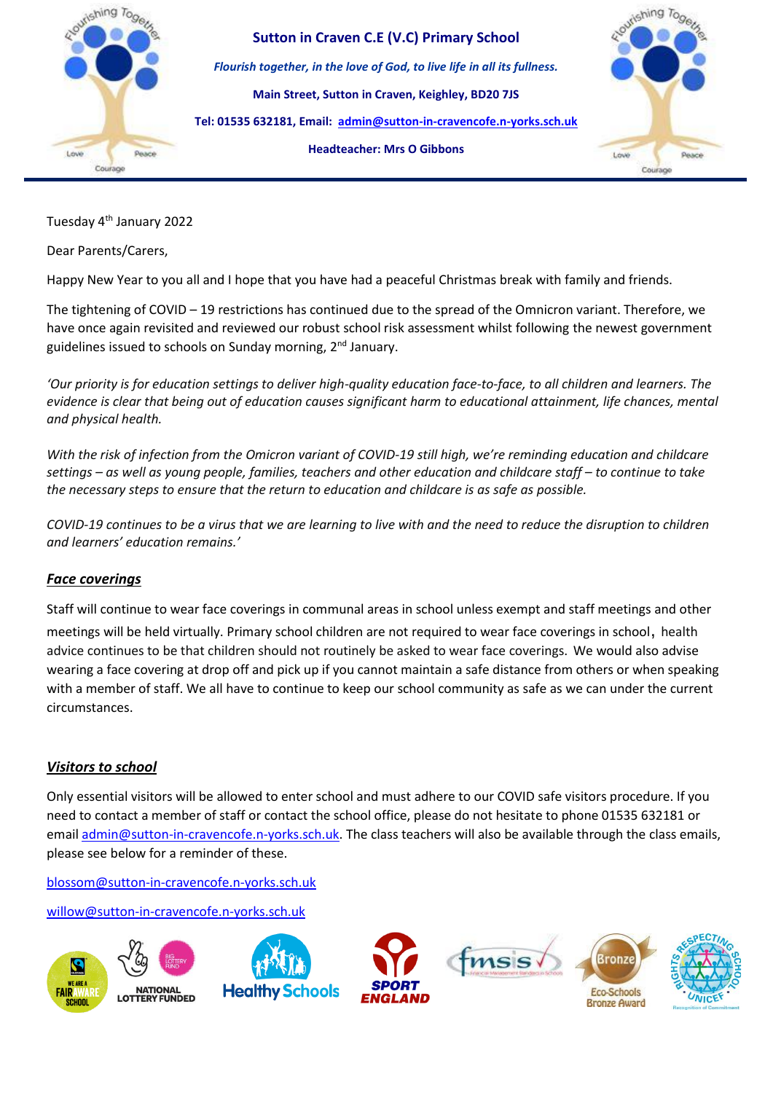

**Sutton in Craven C.E (V.C) Primary School** *Flourish together, in the love of God, to live life in all its fullness.* **Main Street, Sutton in Craven, Keighley, BD20 7JS Tel: 01535 632181, Email: [admin@sutton-in-cravencofe.n-yorks.sch.uk](mailto:admin@sutton-in-cravencofe.n-yorks.sch.uk) Headteacher: Mrs O Gibbons**



Tuesday 4th January 2022

Dear Parents/Carers,

Happy New Year to you all and I hope that you have had a peaceful Christmas break with family and friends.

The tightening of COVID – 19 restrictions has continued due to the spread of the Omnicron variant. Therefore, we have once again revisited and reviewed our robust school risk assessment whilst following the newest government guidelines issued to schools on Sunday morning, 2<sup>nd</sup> January.

*'Our priority is for education settings to deliver high-quality education face-to-face, to all children and learners. The evidence is clear that being out of education causes significant harm to educational attainment, life chances, mental and physical health.*

*With the risk of infection from the Omicron variant of COVID-19 still high, we're reminding education and childcare settings – as well as young people, families, teachers and other education and childcare staff – to continue to take the necessary steps to ensure that the return to education and childcare is as safe as possible.*

*COVID-19 continues to be a virus that we are learning to live with and the need to reduce the disruption to children and learners' education remains.'*

# *Face coverings*

Staff will continue to wear face coverings in communal areas in school unless exempt and staff meetings and other

meetings will be held virtually. Primary school children are not required to wear face coverings in school, health advice continues to be that children should not routinely be asked to wear face coverings. We would also advise wearing a face covering at drop off and pick up if you cannot maintain a safe distance from others or when speaking with a member of staff. We all have to continue to keep our school community as safe as we can under the current circumstances.

# *Visitors to school*

Only essential visitors will be allowed to enter school and must adhere to our COVID safe visitors procedure. If you need to contact a member of staff or contact the school office, please do not hesitate to phone 01535 632181 or email [admin@sutton-in-cravencofe.n-yorks.sch.uk.](mailto:admin@sutton-in-cravencofe.n-yorks.sch.uk) The class teachers will also be available through the class emails, please see below for a reminder of these.

[blossom@sutton-in-cravencofe.n-yorks.sch.uk](mailto:blossom@sutton-in-cravencofe.n-yorks.sch.uk)

[willow@sutton-in-cravencofe.n-yorks.sch.uk](mailto:willow@sutton-in-cravencofe.n-yorks.sch.uk)

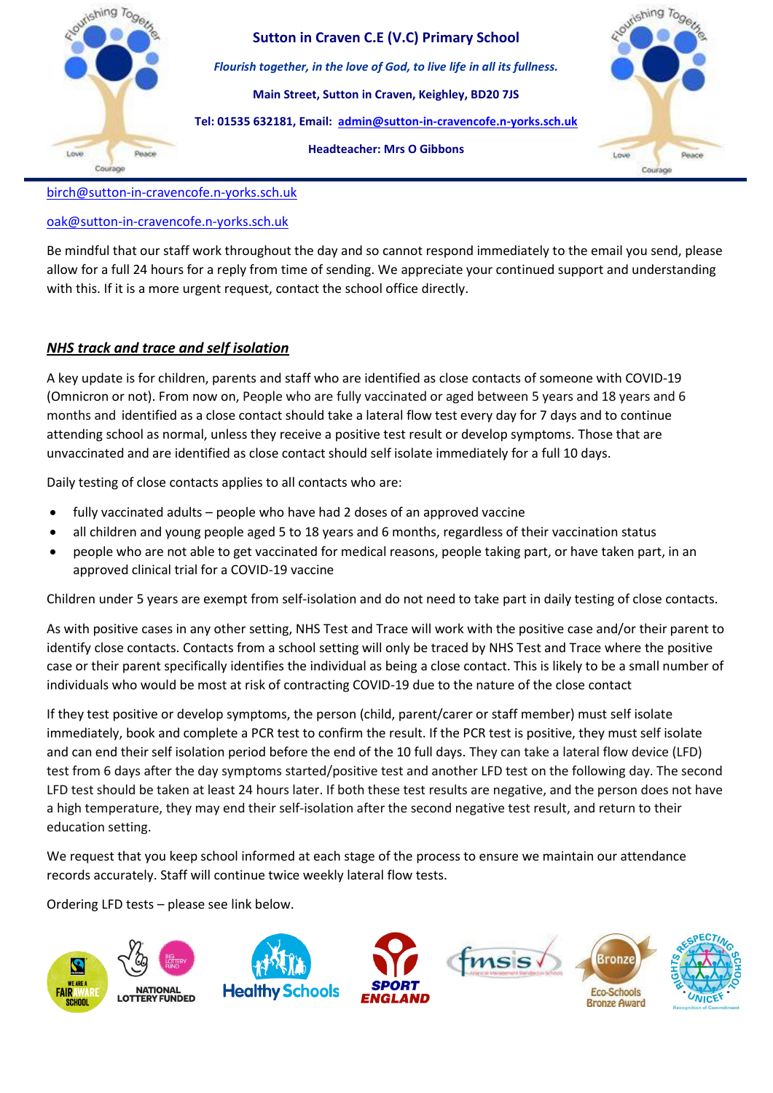

[birch@sutton-in-cravencofe.n-yorks.sch.uk](mailto:birch@sutton-in-cravencofe.n-yorks.sch.uk)

## [oak@sutton-in-cravencofe.n-yorks.sch.uk](mailto:oak@sutton-in-cravencofe.n-yorks.sch.uk)

Be mindful that our staff work throughout the day and so cannot respond immediately to the email you send, please allow for a full 24 hours for a reply from time of sending. We appreciate your continued support and understanding with this. If it is a more urgent request, contact the school office directly.

## *NHS track and trace and self isolation*

A key update is for children, parents and staff who are identified as close contacts of someone with COVID-19 (Omnicron or not). From now on, People who are fully vaccinated or aged between 5 years and 18 years and 6 months and identified as a close contact should take a lateral flow test every day for 7 days and to continue attending school as normal, unless they receive a positive test result or develop symptoms. Those that are unvaccinated and are identified as close contact should self isolate immediately for a full 10 days.

Daily testing of close contacts applies to all contacts who are:

- fully vaccinated adults people who have had 2 doses of an approved vaccine
- all children and young people aged 5 to 18 years and 6 months, regardless of their vaccination status
- people who are not able to get vaccinated for medical reasons, people taking part, or have taken part, in an approved clinical trial for a COVID-19 vaccine

Children under 5 years are exempt from self-isolation and do not need to take part in daily testing of close contacts.

As with positive cases in any other setting, NHS Test and Trace will work with the positive case and/or their parent to identify close contacts. Contacts from a school setting will only be traced by NHS Test and Trace where the positive case or their parent specifically identifies the individual as being a close contact. This is likely to be a small number of individuals who would be most at risk of contracting COVID-19 due to the nature of the close contact

If they test positive or develop symptoms, the person (child, parent/carer or staff member) must self isolate immediately, book and complete a PCR test to confirm the result. If the PCR test is positive, they must self isolate and can end their self isolation period before the end of the 10 full days. They can take a lateral flow device (LFD) test from 6 days after the day symptoms started/positive test and another LFD test on the following day. The second LFD test should be taken at least 24 hours later. If both these test results are negative, and the person does not have a high temperature, they may end their self-isolation after the second negative test result, and return to their education setting.

We request that you keep school informed at each stage of the process to ensure we maintain our attendance records accurately. Staff will continue twice weekly lateral flow tests.

Ordering LFD tests – please see link below.

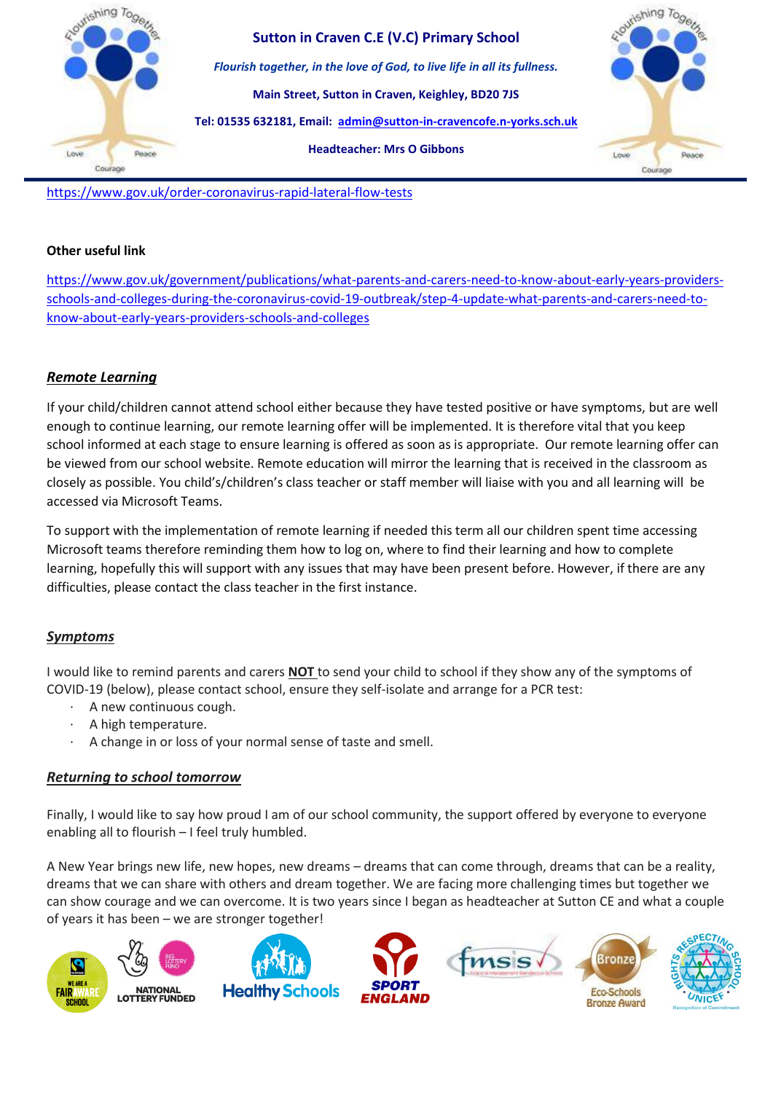

<https://www.gov.uk/order-coronavirus-rapid-lateral-flow-tests>

#### **Other useful link**

[https://www.gov.uk/government/publications/what-parents-and-carers-need-to-know-about-early-years-providers](https://www.gov.uk/government/publications/what-parents-and-carers-need-to-know-about-early-years-providers-schools-and-colleges-during-the-coronavirus-covid-19-outbreak/step-4-update-what-parents-and-carers-need-to-know-about-early-years-providers-schools-and-colleges)[schools-and-colleges-during-the-coronavirus-covid-19-outbreak/step-4-update-what-parents-and-carers-need-to](https://www.gov.uk/government/publications/what-parents-and-carers-need-to-know-about-early-years-providers-schools-and-colleges-during-the-coronavirus-covid-19-outbreak/step-4-update-what-parents-and-carers-need-to-know-about-early-years-providers-schools-and-colleges)[know-about-early-years-providers-schools-and-colleges](https://www.gov.uk/government/publications/what-parents-and-carers-need-to-know-about-early-years-providers-schools-and-colleges-during-the-coronavirus-covid-19-outbreak/step-4-update-what-parents-and-carers-need-to-know-about-early-years-providers-schools-and-colleges)

### *Remote Learning*

If your child/children cannot attend school either because they have tested positive or have symptoms, but are well enough to continue learning, our remote learning offer will be implemented. It is therefore vital that you keep school informed at each stage to ensure learning is offered as soon as is appropriate. Our remote learning offer can be viewed from our school website. Remote education will mirror the learning that is received in the classroom as closely as possible. You child's/children's class teacher or staff member will liaise with you and all learning will be accessed via Microsoft Teams.

To support with the implementation of remote learning if needed this term all our children spent time accessing Microsoft teams therefore reminding them how to log on, where to find their learning and how to complete learning, hopefully this will support with any issues that may have been present before. However, if there are any difficulties, please contact the class teacher in the first instance.

#### *Symptoms*

I would like to remind parents and carers **NOT** to send your child to school if they show any of the symptoms of COVID-19 (below), please contact school, ensure they self-isolate and arrange for a PCR test:

- · A new continuous cough.
- · A high temperature.
- A change in or loss of your normal sense of taste and smell.

## *Returning to school tomorrow*

Finally, I would like to say how proud I am of our school community, the support offered by everyone to everyone enabling all to flourish – I feel truly humbled.

A New Year brings new life, new hopes, new dreams – dreams that can come through, dreams that can be a reality, dreams that we can share with others and dream together. We are facing more challenging times but together we can show courage and we can overcome. It is two years since I began as headteacher at Sutton CE and what a couple of years it has been – we are stronger together!